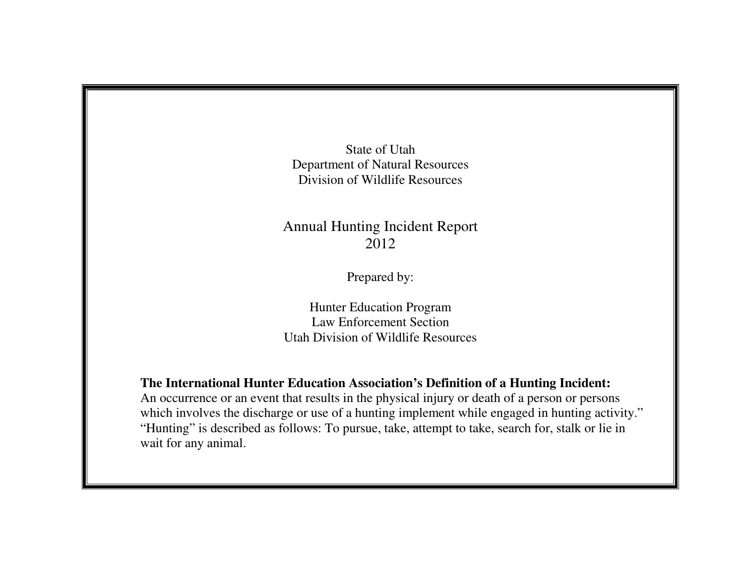State of Utah Department of Natural Resources Division of Wildlife Resources

## Annual Hunting Incident Report 2012

Prepared by:

Hunter Education Program Law Enforcement Section Utah Division of Wildlife Resources

**The International Hunter Education Association's Definition of a Hunting Incident:** 

 An occurrence or an event that results in the physical injury or death of a person or persons which involves the discharge or use of a hunting implement while engaged in hunting activity." "Hunting" is described as follows: To pursue, take, attempt to take, search for, stalk or lie in wait for any animal.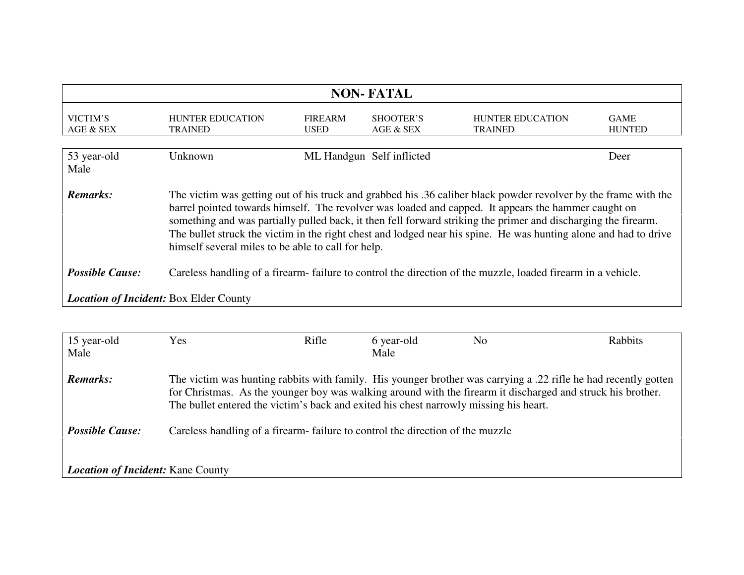| <b>NON-FATAL</b>                                                                                                                      |                                                                                                                                                                                                                                                                                                                                                                                                                                                                                                                    |                |                           |                         |               |  |  |
|---------------------------------------------------------------------------------------------------------------------------------------|--------------------------------------------------------------------------------------------------------------------------------------------------------------------------------------------------------------------------------------------------------------------------------------------------------------------------------------------------------------------------------------------------------------------------------------------------------------------------------------------------------------------|----------------|---------------------------|-------------------------|---------------|--|--|
|                                                                                                                                       |                                                                                                                                                                                                                                                                                                                                                                                                                                                                                                                    |                |                           |                         |               |  |  |
| VICTIM'S                                                                                                                              | <b>HUNTER EDUCATION</b>                                                                                                                                                                                                                                                                                                                                                                                                                                                                                            | <b>FIREARM</b> | SHOOTER'S                 | <b>HUNTER EDUCATION</b> | <b>GAME</b>   |  |  |
| AGE & SEX                                                                                                                             | <b>TRAINED</b>                                                                                                                                                                                                                                                                                                                                                                                                                                                                                                     | <b>USED</b>    | AGE & SEX                 | <b>TRAINED</b>          | <b>HUNTED</b> |  |  |
|                                                                                                                                       |                                                                                                                                                                                                                                                                                                                                                                                                                                                                                                                    |                |                           |                         |               |  |  |
| 53 year-old                                                                                                                           | Unknown                                                                                                                                                                                                                                                                                                                                                                                                                                                                                                            |                | ML Handgun Self inflicted |                         | Deer          |  |  |
| Male                                                                                                                                  |                                                                                                                                                                                                                                                                                                                                                                                                                                                                                                                    |                |                           |                         |               |  |  |
|                                                                                                                                       |                                                                                                                                                                                                                                                                                                                                                                                                                                                                                                                    |                |                           |                         |               |  |  |
| <b>Remarks:</b>                                                                                                                       | The victim was getting out of his truck and grabbed his .36 caliber black powder revolver by the frame with the<br>barrel pointed towards himself. The revolver was loaded and capped. It appears the hammer caught on<br>something and was partially pulled back, it then fell forward striking the primer and discharging the firearm.<br>The bullet struck the victim in the right chest and lodged near his spine. He was hunting alone and had to drive<br>himself several miles to be able to call for help. |                |                           |                         |               |  |  |
| <b>Possible Cause:</b><br>Careless handling of a firearm-failure to control the direction of the muzzle, loaded firearm in a vehicle. |                                                                                                                                                                                                                                                                                                                                                                                                                                                                                                                    |                |                           |                         |               |  |  |
| <b>Location of Incident: Box Elder County</b>                                                                                         |                                                                                                                                                                                                                                                                                                                                                                                                                                                                                                                    |                |                           |                         |               |  |  |
|                                                                                                                                       |                                                                                                                                                                                                                                                                                                                                                                                                                                                                                                                    |                |                           |                         |               |  |  |

| 15 year-old<br>Male                      | <b>Yes</b>                                                                                                                                                                                                                                                                                                              | Rifle | 6 year-old<br>Male | N <sub>0</sub> | Rabbits |  |
|------------------------------------------|-------------------------------------------------------------------------------------------------------------------------------------------------------------------------------------------------------------------------------------------------------------------------------------------------------------------------|-------|--------------------|----------------|---------|--|
| <b>Remarks:</b>                          | The victim was hunting rabbits with family. His younger brother was carrying a .22 rifle he had recently gotten<br>for Christmas. As the younger boy was walking around with the firearm it discharged and struck his brother.<br>The bullet entered the victim's back and exited his chest narrowly missing his heart. |       |                    |                |         |  |
| <b>Possible Cause:</b>                   | Careless handling of a firearm-failure to control the direction of the muzzle                                                                                                                                                                                                                                           |       |                    |                |         |  |
| <b>Location of Incident:</b> Kane County |                                                                                                                                                                                                                                                                                                                         |       |                    |                |         |  |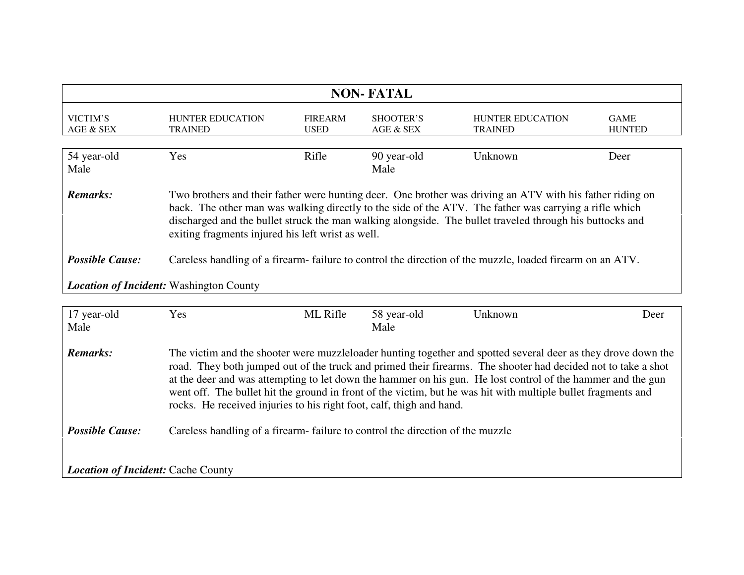| <b>NON-FATAL</b>                                                                                                                                                                                                                                                                                                                                                                                 |                                           |                               |                        |                                           |                              |  |
|--------------------------------------------------------------------------------------------------------------------------------------------------------------------------------------------------------------------------------------------------------------------------------------------------------------------------------------------------------------------------------------------------|-------------------------------------------|-------------------------------|------------------------|-------------------------------------------|------------------------------|--|
| VICTIM'S<br>AGE & SEX                                                                                                                                                                                                                                                                                                                                                                            | <b>HUNTER EDUCATION</b><br><b>TRAINED</b> | <b>FIREARM</b><br><b>USED</b> | SHOOTER'S<br>AGE & SEX | <b>HUNTER EDUCATION</b><br><b>TRAINED</b> | <b>GAME</b><br><b>HUNTED</b> |  |
| 54 year-old<br>Male                                                                                                                                                                                                                                                                                                                                                                              | Yes                                       | Rifle                         | 90 year-old<br>Male    | Unknown                                   | Deer                         |  |
| Two brothers and their father were hunting deer. One brother was driving an ATV with his father riding on<br>Remarks:<br>back. The other man was walking directly to the side of the ATV. The father was carrying a rifle which<br>discharged and the bullet struck the man walking alongside. The bullet traveled through his buttocks and<br>exiting fragments injured his left wrist as well. |                                           |                               |                        |                                           |                              |  |
| <b>Possible Cause:</b><br>Careless handling of a firearm-failure to control the direction of the muzzle, loaded firearm on an ATV.                                                                                                                                                                                                                                                               |                                           |                               |                        |                                           |                              |  |
| <b>Location of Incident:</b> Washington County                                                                                                                                                                                                                                                                                                                                                   |                                           |                               |                        |                                           |                              |  |

| 17 year-old                               | <b>Yes</b>                                                                                                                                                                                                                                                                                                                                                                                                                                                                                                                             | ML Rifle | 58 year-old | Unknown | Deer |  |
|-------------------------------------------|----------------------------------------------------------------------------------------------------------------------------------------------------------------------------------------------------------------------------------------------------------------------------------------------------------------------------------------------------------------------------------------------------------------------------------------------------------------------------------------------------------------------------------------|----------|-------------|---------|------|--|
| Male                                      |                                                                                                                                                                                                                                                                                                                                                                                                                                                                                                                                        |          | Male        |         |      |  |
| <b>Remarks:</b>                           | The victim and the shooter were muzzleloader hunting together and spotted several deer as they drove down the<br>road. They both jumped out of the truck and primed their firearms. The shooter had decided not to take a shot<br>at the deer and was attempting to let down the hammer on his gun. He lost control of the hammer and the gun<br>went off. The bullet hit the ground in front of the victim, but he was hit with multiple bullet fragments and<br>rocks. He received injuries to his right foot, calf, thigh and hand. |          |             |         |      |  |
| <b>Possible Cause:</b>                    | Careless handling of a firearm-failure to control the direction of the muzzle                                                                                                                                                                                                                                                                                                                                                                                                                                                          |          |             |         |      |  |
| <b>Location of Incident: Cache County</b> |                                                                                                                                                                                                                                                                                                                                                                                                                                                                                                                                        |          |             |         |      |  |